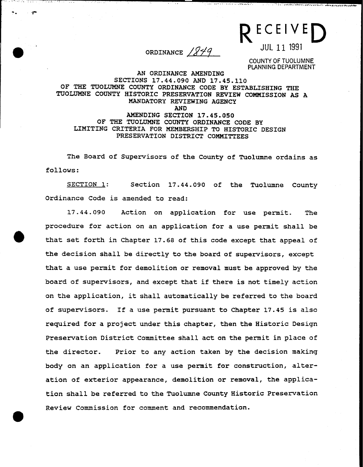$R = 22172$ ORDINANCE  $1849$ 

c' c -:: -. ..-r- " "--" .',:.- '~"""~~~'-~"~W""~""w",-~-"..v

COUNTY OF TUOLUMNE PLANNING DEPARTMENT

## AN ORDINANCE AMENDING SECTIONS 17.44.090 AND 17.45.110 OF THE TUOLUMNE COUNTY ORDINANCE CODE BY ESTABLISHING THE TUOLUMNE COUNTY HISTORIC PRESERVATION REVIEW COMMISSION AS A MANDATORY REVIEWING AGENCY AND AMENDING SECTION 17.45.050 OF THE TUOLUMNE COUNTY ORDINANCE CODE BY LIMITING CRITERIA FOR MEMBERSHIP TO HISTORIC DESIGN PRESERVATION DISTRICT COMMITTEES

The Board of Supervisors of the County of Tuolumne ordains as follows:

SECTION 1: Section 17.44.090 of the Tuolumne County Ordinance Code is amended to read:

17.44.090 Action on application for use permit. The procedure for action on an application for a use permit shall be that set forth in Chapter 17.68 of this code except that appeal of the decision shall be directly to the board of supervisors, except that a use permit for demolition or removal must be approved by the board of supervisors, and except that if there is not timely action on the application, it shall automatically be referred to the board of supervisors. If a use permit pursuant to Chapter 17.45 is also required for a project under this chapter, then the Historic Design Preservation District Committee shall act on the permit in place of the director. Prior to any action taken by the decision making body on an application for a use permit for construction, alteration of exterior appearance, demolition or removal, the application shall be referred to the Tuolumne County Historic Preservation Review Commission for comment and recommendation.

**9**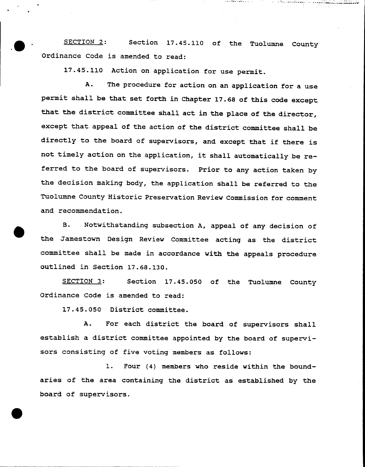SECTION 2: Section 17.45.110 of the Tuolumne County Ordinance Code is amended to read:

.-\_o\_c,:c "c., "".~!, ...~.,.:~ :.~~-.;v !

17.45.110 Action on application for use permit.

..

**9** 

A. The procedure for action on an application for a use permit shall be that set forth in Chapter 17.68 of this code except that the district committee shall act in the place of the director, except that appeal of the action of the district committee shall be directly to the board of supervisors, and except that if there is not timely action on the application, it shall automatically be referred to the board of supervisors. Prior to any action taken by the decision making body, the application shall be referred to the Tuolumne County Historic Preservation Review Commission for comment and recommendation.

B. Notwithstanding subsection A, appeal of any decision of the Jamestown Design Review Committee acting as the district committee shall be made in accordance with the appeals procedure outlined in Section 17.68.130.

SECTION 3: Section 17.45.050 of the Tuolumne County Ordinance Code is amended to read:

17.45.050 District committee.

A. For each district the board of supervisors shall establish a district committee appointed by the board of supervisors consisting of five voting members as follows:

1. Four (4) members who reside within the boundaries of the area containing the district as established by the board of supervisors.

- -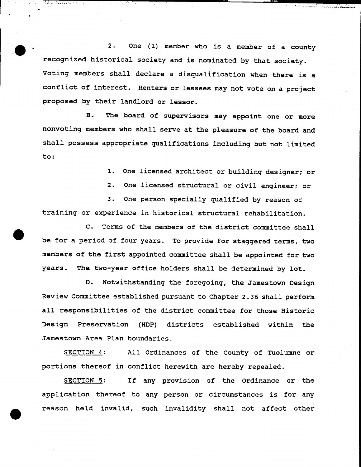2. One (1) member who is a member of a county recognized historical society and is nominated by that society. Voting members shall declare a disqualification when there is a conflict of interest. Renters or lessees may not vote on a project proposed by their landlord or lessor.

 $\bullet$  ,  $\bullet$  ,  $\bullet$  ,  $\bullet$ 

المساحقة بالخا

المتواطئ الأعارف والمتوا

..

B. The board of supervisors may appoint one or more nonvoting members who shall serve at the pleasure of the board and shall possess appropriate qualifications including but not limited to:

1. One licensed architect or building designer; or

'

2. One licensed structural or civil engineer; or

3. One person specially qualified by reason of training or experience in historical structural rehabilitation.

C. Terms of the members of the district committee shall be for a period of four years. To provide for staggered terms, two members of the first appointed committee shall be appointed for two years. The two-year office holders shall be determined by lot.

D. Notwithstanding the foregoing, the Jamestown Design Review Committee established pursuant to Chapter 2.36 shall perform all responsibilities of the district committee for those Historic Design Preservation (HOP) districts established within the Jamestown Area Plan boundaries.

SECTION 4: All Ordinances of the County of Tuolumne or portions thereof in conflict herewith are hereby repealed.

SECTION 5: If any provision of the Ordinance or the application thereof to any person or circumstances is for any reason held invalid, such invalidity shall not affect other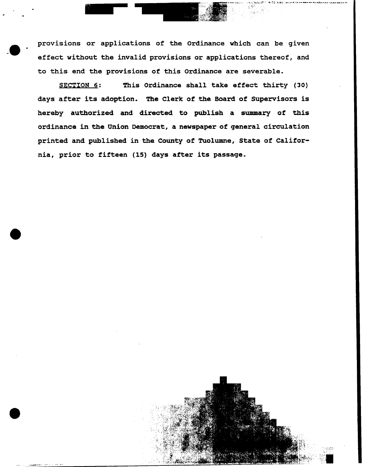provisions or applications of the Ordinance which can be given effect without the invalid provisions or applications thereof, and to this end the provisions of this Ordinance are severable.

..111- L :"l"::':j; \_.."~,,w;.~-~.;

.~:~l;.;o;;;;:",'.

. -

SECTION 6: This Ordinance shall take effect thirty (30) days after its adoption. The Clerk of the Board of Supervisors is hereby authorized and directed to publish a summary of this ordinance in the Union Democrat, a newspaper of general circulation printed and published in the County of Tuolumne, State of California, prior to fifteen (15) days after its passage.